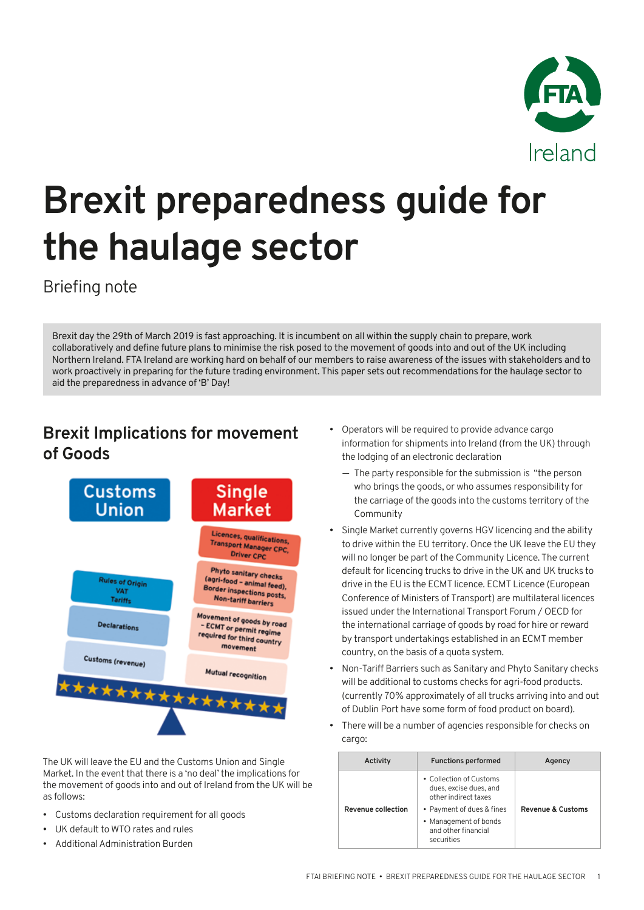

# **Brexit preparedness guide for the haulage sector**

Briefing note

Brexit day the 29th of March 2019 is fast approaching. It is incumbent on all within the supply chain to prepare, work collaboratively and define future plans to minimise the risk posed to the movement of goods into and out of the UK including Northern Ireland. FTA Ireland are working hard on behalf of our members to raise awareness of the issues with stakeholders and to work proactively in preparing for the future trading environment. This paper sets out recommendations for the haulage sector to aid the preparedness in advance of 'B' Day!

## **Brexit Implications for movement of Goods**



The UK will leave the EU and the Customs Union and Single Market. In the event that there is a 'no deal' the implications for the movement of goods into and out of Ireland from the UK will be as follows:

- Customs declaration requirement for all goods
- UK default to WTO rates and rules
- Additional Administration Burden
- Operators will be required to provide advance cargo information for shipments into Ireland (from the UK) through the lodging of an electronic declaration
	- The party responsible for the submission is "the person who brings the goods, or who assumes responsibility for the carriage of the goods into the customs territory of the Community
- Single Market currently governs HGV licencing and the ability to drive within the EU territory. Once the UK leave the EU they will no longer be part of the Community Licence. The current default for licencing trucks to drive in the UK and UK trucks to drive in the EU is the ECMT licence. ECMT Licence (European Conference of Ministers of Transport) are multilateral licences issued under the International Transport Forum / OECD for the international carriage of goods by road for hire or reward by transport undertakings established in an ECMT member country, on the basis of a quota system.
- Non-Tariff Barriers such as Sanitary and Phyto Sanitary checks will be additional to customs checks for agri-food products. (currently 70% approximately of all trucks arriving into and out of Dublin Port have some form of food product on board).
- There will be a number of agencies responsible for checks on cargo:

| Activity                  | <b>Functions performed</b>                                                | Agency                       |
|---------------------------|---------------------------------------------------------------------------|------------------------------|
| <b>Revenue collection</b> | • Collection of Customs<br>dues, excise dues, and<br>other indirect taxes |                              |
|                           | • Payment of dues & fines                                                 | <b>Revenue &amp; Customs</b> |
|                           | • Management of bonds<br>and other financial<br>securities                |                              |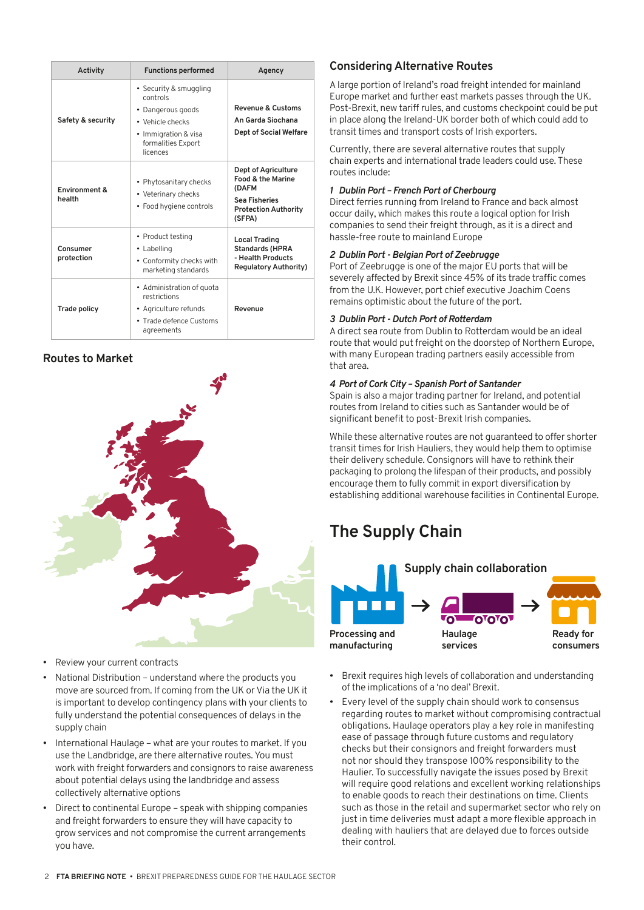|  | Activity                | <b>Functions performed</b>                                                                                                            | Agency                                                                                                                        |
|--|-------------------------|---------------------------------------------------------------------------------------------------------------------------------------|-------------------------------------------------------------------------------------------------------------------------------|
|  | Safety & security       | • Security & smuggling<br>controls<br>• Dangerous goods<br>• Vehicle checks<br>• Immigration & visa<br>formalities Export<br>licences | Revenue & Customs<br>An Garda Siochana<br><b>Dept of Social Welfare</b>                                                       |
|  | Environment &<br>health | • Phytosanitary checks<br>• Veterinary checks<br>• Food hygiene controls                                                              | Dept of Agriculture<br><b>Food &amp; the Marine</b><br>(DAFM<br><b>Sea Fisheries</b><br><b>Protection Authority</b><br>(SFPA) |
|  | Consumer<br>protection  | • Product testing<br>• Labelling<br>• Conformity checks with<br>marketing standards                                                   | <b>Local Trading</b><br><b>Standards (HPRA</b><br>- Health Products<br><b>Regulatory Authority)</b>                           |
|  | <b>Trade policy</b>     | • Administration of quota<br>restrictions<br>• Agriculture refunds<br>• Trade defence Customs<br>agreements                           | Revenue                                                                                                                       |

## **Routes to Market**



- Review your current contracts
- National Distribution understand where the products you move are sourced from. If coming from the UK or Via the UK it is important to develop contingency plans with your clients to fully understand the potential consequences of delays in the supply chain
- International Haulage what are your routes to market. If you use the Landbridge, are there alternative routes. You must work with freight forwarders and consignors to raise awareness about potential delays using the landbridge and assess collectively alternative options
- Direct to continental Europe speak with shipping companies and freight forwarders to ensure they will have capacity to grow services and not compromise the current arrangements you have.

## **Considering Alternative Routes**

A large portion of Ireland's road freight intended for mainland Europe market and further east markets passes through the UK. Post-Brexit, new tariff rules, and customs checkpoint could be put in place along the Ireland-UK border both of which could add to transit times and transport costs of Irish exporters.

Currently, there are several alternative routes that supply chain experts and international trade leaders could use. These routes include:

## *1 Dublin Port – French Port of Cherbourg*

Direct ferries running from Ireland to France and back almost occur daily, which makes this route a logical option for Irish companies to send their freight through, as it is a direct and hassle-free route to mainland Europe

## *2 Dublin Port - Belgian Port of Zeebrugge*

Port of Zeebrugge is one of the major EU ports that will be severely affected by Brexit since 45% of its trade traffic comes from the U.K. However, port chief executive Joachim Coens remains optimistic about the future of the port.

## *3 Dublin Port - Dutch Port of Rotterdam*

A direct sea route from Dublin to Rotterdam would be an ideal route that would put freight on the doorstep of Northern Europe, with many European trading partners easily accessible from that area.

## *4 Port of Cork City – Spanish Port of Santander*

Spain is also a major trading partner for Ireland, and potential routes from Ireland to cities such as Santander would be of significant benefit to post-Brexit Irish companies.

While these alternative routes are not guaranteed to offer shorter transit times for Irish Hauliers, they would help them to optimise their delivery schedule. Consignors will have to rethink their packaging to prolong the lifespan of their products, and possibly encourage them to fully commit in export diversification by establishing additional warehouse facilities in Continental Europe.

# **The Supply Chain**



- Brexit requires high levels of collaboration and understanding of the implications of a 'no deal' Brexit.
- Every level of the supply chain should work to consensus regarding routes to market without compromising contractual obligations. Haulage operators play a key role in manifesting ease of passage through future customs and regulatory checks but their consignors and freight forwarders must not nor should they transpose 100% responsibility to the Haulier. To successfully navigate the issues posed by Brexit will require good relations and excellent working relationships to enable goods to reach their destinations on time. Clients such as those in the retail and supermarket sector who rely on just in time deliveries must adapt a more flexible approach in dealing with hauliers that are delayed due to forces outside their control.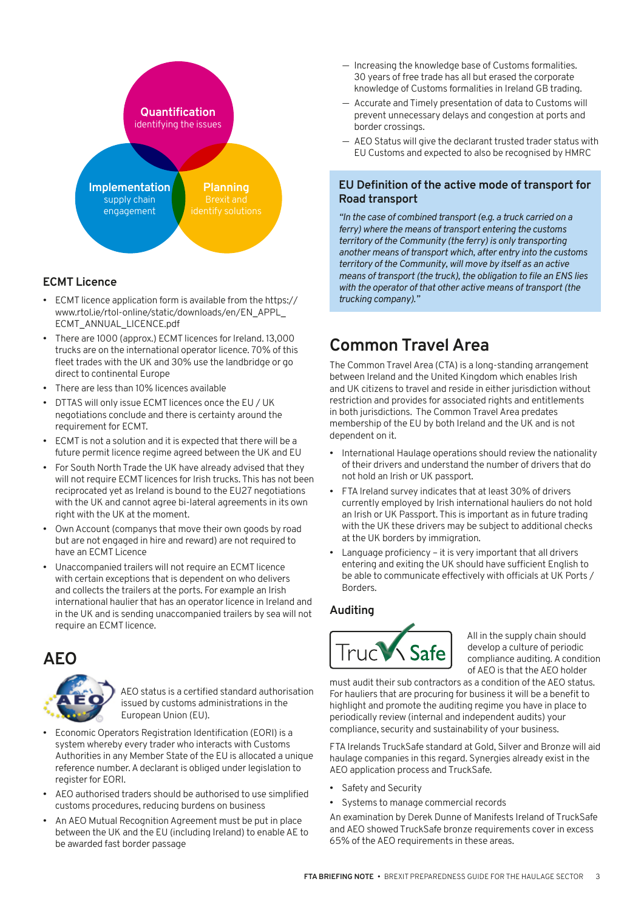

## **ECMT Licence**

- ECMT licence application form is available from the [https://](https://www.rtol.ie/rtol-online/static/downloads/en/EN_APPL_ECMT_ANNUAL_LICENCE.pdf) [www.rtol.ie/rtol-online/static/downloads/en/EN\\_APPL\\_](https://www.rtol.ie/rtol-online/static/downloads/en/EN_APPL_ECMT_ANNUAL_LICENCE.pdf) [ECMT\\_ANNUAL\\_LICENCE.pdf](https://www.rtol.ie/rtol-online/static/downloads/en/EN_APPL_ECMT_ANNUAL_LICENCE.pdf)
- There are 1000 (approx.) ECMT licences for Ireland. 13,000 trucks are on the international operator licence. 70% of this fleet trades with the UK and 30% use the landbridge or go direct to continental Europe
- There are less than 10% licences available
- DTTAS will only issue ECMT licences once the EU / UK negotiations conclude and there is certainty around the requirement for ECMT.
- ECMT is not a solution and it is expected that there will be a future permit licence regime agreed between the UK and EU
- For South North Trade the UK have already advised that they will not require ECMT licences for Irish trucks. This has not been reciprocated yet as Ireland is bound to the EU27 negotiations with the UK and cannot agree bi-lateral agreements in its own right with the UK at the moment.
- Own Account (companys that move their own goods by road but are not engaged in hire and reward) are not required to have an ECMT Licence
- Unaccompanied trailers will not require an ECMT licence with certain exceptions that is dependent on who delivers and collects the trailers at the ports. For example an Irish international haulier that has an operator licence in Ireland and in the UK and is sending unaccompanied trailers by sea will not require an ECMT licence.

## **AEO**



AEO status is a certified standard authorisation issued by customs administrations in the European Union (EU).

- Economic Operators Registration Identification (EORI) is a system whereby every trader who interacts with Customs Authorities in any Member State of the EU is allocated a unique reference number. A declarant is obliged under legislation to register for EORI.
- AEO authorised traders should be authorised to use simplified customs procedures, reducing burdens on business
- An AEO Mutual Recognition Agreement must be put in place between the UK and the EU (including Ireland) to enable AE to be awarded fast border passage
- Increasing the knowledge base of Customs formalities. 30 years of free trade has all but erased the corporate knowledge of Customs formalities in Ireland GB trading.
- Accurate and Timely presentation of data to Customs will prevent unnecessary delays and congestion at ports and border crossings.
- AEO Status will give the declarant trusted trader status with EU Customs and expected to also be recognised by HMRC

## **EU Definition of the active mode of transport for Road transport**

*"In the case of combined transport (e.g. a truck carried on a ferry) where the means of transport entering the customs territory of the Community (the ferry) is only transporting another means of transport which, after entry into the customs territory of the Community, will move by itself as an active means of transport (the truck), the obligation to file an ENS lies with the operator of that other active means of transport (the trucking company)."*

# **Common Travel Area**

The Common Travel Area (CTA) is a long-standing arrangement between Ireland and the United Kingdom which enables Irish and UK citizens to travel and reside in either jurisdiction without restriction and provides for associated rights and entitlements in both jurisdictions. The Common Travel Area predates membership of the EU by both Ireland and the UK and is not dependent on it.

- International Haulage operations should review the nationality of their drivers and understand the number of drivers that do not hold an Irish or UK passport.
- FTA Ireland survey indicates that at least 30% of drivers currently employed by Irish international hauliers do not hold an Irish or UK Passport. This is important as in future trading with the UK these drivers may be subject to additional checks at the UK borders by immigration.
- Language proficiency it is very important that all drivers entering and exiting the UK should have sufficient English to be able to communicate effectively with officials at UK Ports / Borders.

## **Auditing**



All in the supply chain should develop a culture of periodic compliance auditing. A condition of AEO is that the AEO holder

must audit their sub contractors as a condition of the AEO status. For hauliers that are procuring for business it will be a benefit to highlight and promote the auditing regime you have in place to periodically review (internal and independent audits) your compliance, security and sustainability of your business.

FTA Irelands TruckSafe standard at Gold, Silver and Bronze will aid haulage companies in this regard. Synergies already exist in the AEO application process and TruckSafe.

- Safety and Security
- Systems to manage commercial records

An examination by Derek Dunne of Manifests Ireland of TruckSafe and AEO showed TruckSafe bronze requirements cover in excess 65% of the AEO requirements in these areas.